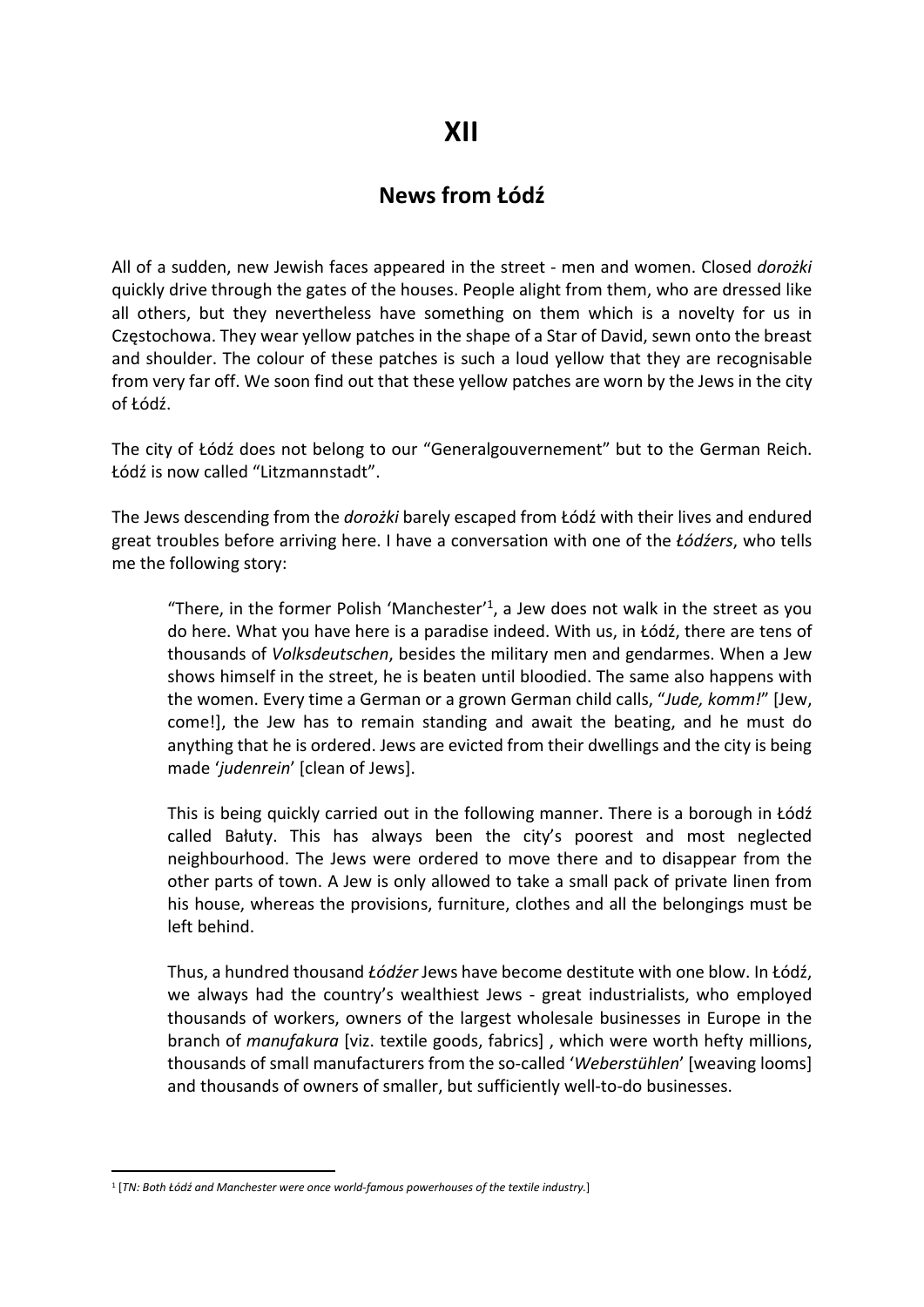## News from Łódź

All of a sudden, new Jewish faces appeared in the street - men and women. Closed dorożki quickly drive through the gates of the houses. People alight from them, who are dressed like all others, but they nevertheless have something on them which is a novelty for us in Częstochowa. They wear yellow patches in the shape of a Star of David, sewn onto the breast and shoulder. The colour of these patches is such a loud yellow that they are recognisable from very far off. We soon find out that these yellow patches are worn by the Jews in the city of Łódź.

The city of Łódź does not belong to our "Generalgouvernement" but to the German Reich. Łódź is now called "Litzmannstadt".

The Jews descending from the dorożki barely escaped from Łódź with their lives and endured great troubles before arriving here. I have a conversation with one of the Łódźers, who tells me the following story:

"There, in the former Polish 'Manchester'<sup>1</sup>, a Jew does not walk in the street as you do here. What you have here is a paradise indeed. With us, in Łódź, there are tens of thousands of Volksdeutschen, besides the military men and gendarmes. When a Jew shows himself in the street, he is beaten until bloodied. The same also happens with the women. Every time a German or a grown German child calls, "Jude, komm!" [Jew, come!], the Jew has to remain standing and await the beating, and he must do anything that he is ordered. Jews are evicted from their dwellings and the city is being made 'judenrein' [clean of Jews].

This is being quickly carried out in the following manner. There is a borough in Łódź called Bałuty. This has always been the city's poorest and most neglected neighbourhood. The Jews were ordered to move there and to disappear from the other parts of town. A Jew is only allowed to take a small pack of private linen from his house, whereas the provisions, furniture, clothes and all the belongings must be left behind.

Thus, a hundred thousand Łódźer Jews have become destitute with one blow. In Łódź, we always had the country's wealthiest Jews - great industrialists, who employed thousands of workers, owners of the largest wholesale businesses in Europe in the branch of *manufakura* [viz. textile goods, fabrics], which were worth hefty millions, thousands of small manufacturers from the so-called 'Weberstühlen' [weaving looms] and thousands of owners of smaller, but sufficiently well-to-do businesses.

<sup>1</sup> [TN: Both Łódź and Manchester were once world-famous powerhouses of the textile industry.]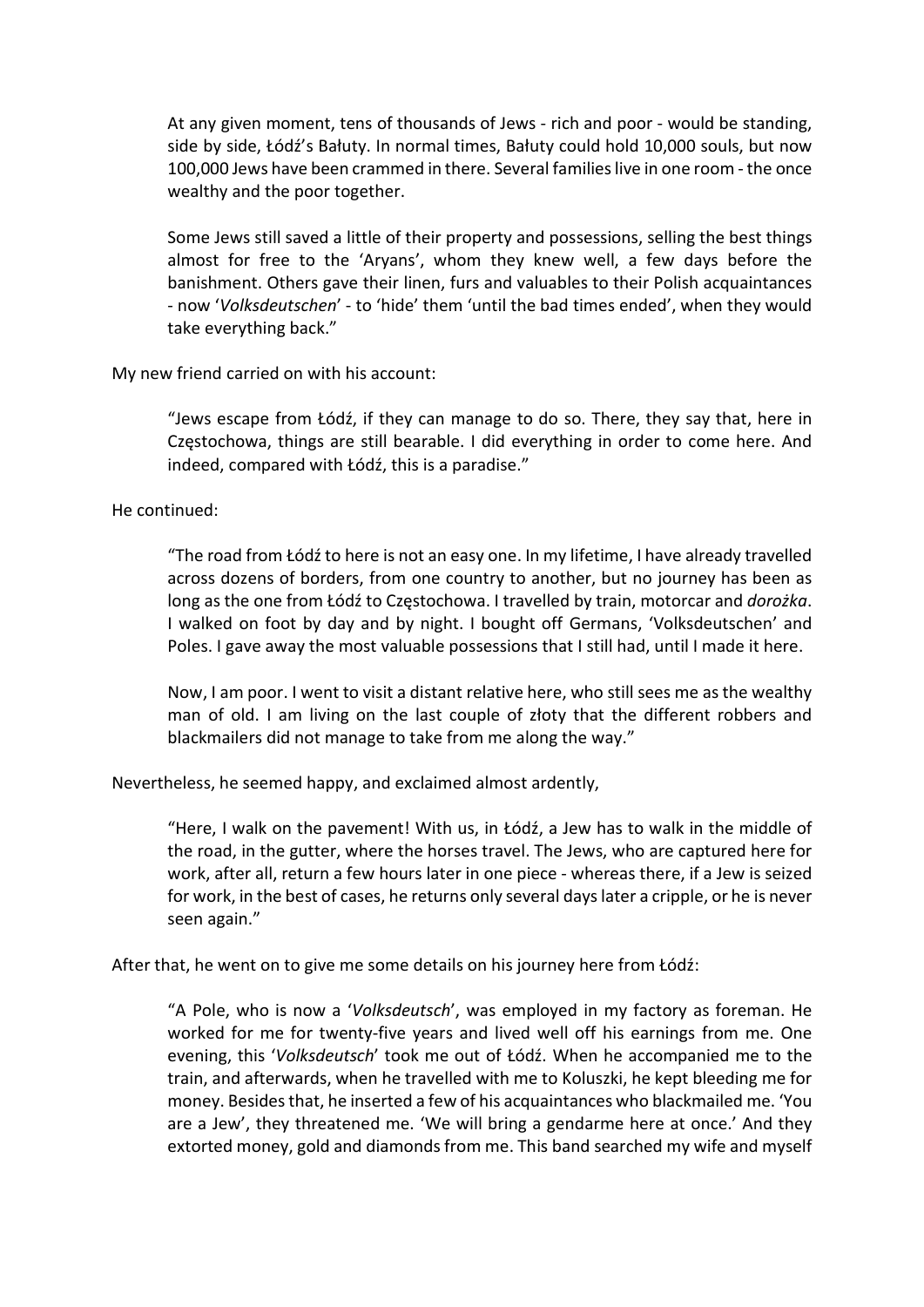At any given moment, tens of thousands of Jews - rich and poor - would be standing, side by side, Łódź's Bałuty. In normal times, Bałuty could hold 10,000 souls, but now 100,000 Jews have been crammed in there. Several families live in one room - the once wealthy and the poor together.

Some Jews still saved a little of their property and possessions, selling the best things almost for free to the 'Aryans', whom they knew well, a few days before the banishment. Others gave their linen, furs and valuables to their Polish acquaintances - now 'Volksdeutschen' - to 'hide' them 'until the bad times ended', when they would take everything back."

My new friend carried on with his account:

"Jews escape from Łódź, if they can manage to do so. There, they say that, here in Częstochowa, things are still bearable. I did everything in order to come here. And indeed, compared with Łódź, this is a paradise."

He continued:

"The road from Łódź to here is not an easy one. In my lifetime, I have already travelled across dozens of borders, from one country to another, but no journey has been as long as the one from Łódź to Częstochowa. I travelled by train, motorcar and dorożka. I walked on foot by day and by night. I bought off Germans, 'Volksdeutschen' and Poles. I gave away the most valuable possessions that I still had, until I made it here.

Now, I am poor. I went to visit a distant relative here, who still sees me as the wealthy man of old. I am living on the last couple of złoty that the different robbers and blackmailers did not manage to take from me along the way."

Nevertheless, he seemed happy, and exclaimed almost ardently,

"Here, I walk on the pavement! With us, in Łódź, a Jew has to walk in the middle of the road, in the gutter, where the horses travel. The Jews, who are captured here for work, after all, return a few hours later in one piece - whereas there, if a Jew is seized for work, in the best of cases, he returns only several days later a cripple, or he is never seen again."

After that, he went on to give me some details on his journey here from Łódź:

"A Pole, who is now a 'Volksdeutsch', was employed in my factory as foreman. He worked for me for twenty-five years and lived well off his earnings from me. One evening, this 'Volksdeutsch' took me out of Łódź. When he accompanied me to the train, and afterwards, when he travelled with me to Koluszki, he kept bleeding me for money. Besides that, he inserted a few of his acquaintances who blackmailed me. 'You are a Jew', they threatened me. 'We will bring a gendarme here at once.' And they extorted money, gold and diamonds from me. This band searched my wife and myself